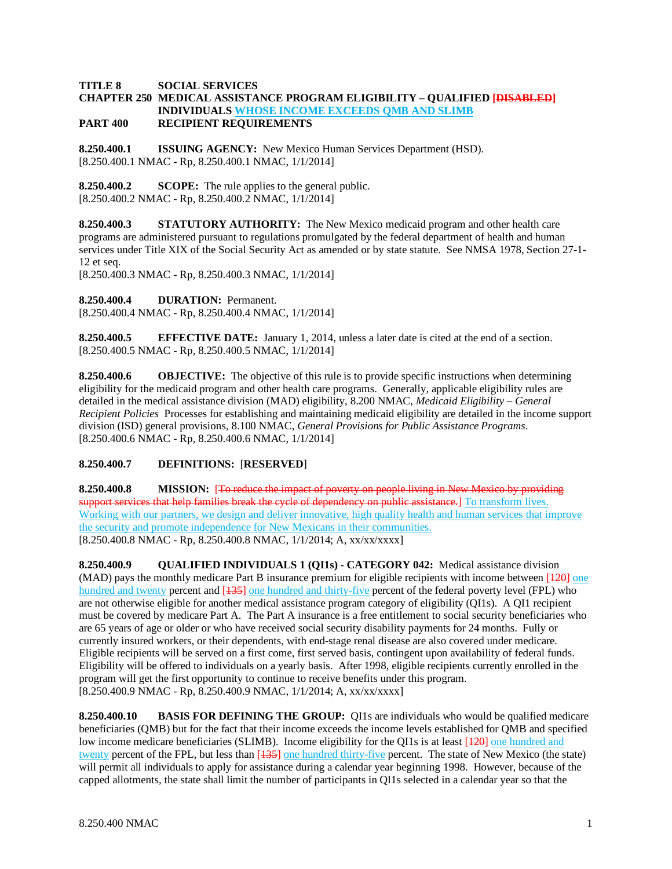## **TITLE 8 SOCIAL SERVICES**

# **CHAPTER 250 MEDICAL ASSISTANCE PROGRAM ELIGIBILITY – QUALIFIED [DISABLED] INDIVIDUALS WHOSE INCOME EXCEEDS QMB AND SLIMB**

# **PART 400 RECIPIENT REQUIREMENTS**

**8.250.400.1 ISSUING AGENCY:** New Mexico Human Services Department (HSD). [8.250.400.1 NMAC - Rp, 8.250.400.1 NMAC, 1/1/2014]

**8.250.400.2 SCOPE:** The rule applies to the general public. [8.250.400.2 NMAC - Rp, 8.250.400.2 NMAC, 1/1/2014]

**8.250.400.3 STATUTORY AUTHORITY:** The New Mexico medicaid program and other health care programs are administered pursuant to regulations promulgated by the federal department of health and human services under Title XIX of the Social Security Act as amended or by state statute. See NMSA 1978, Section 27-1- 12 et seq.

[8.250.400.3 NMAC - Rp, 8.250.400.3 NMAC, 1/1/2014]

**8.250.400.4 DURATION:** Permanent.

[8.250.400.4 NMAC - Rp, 8.250.400.4 NMAC, 1/1/2014]

**8.250.400.5 EFFECTIVE DATE:** January 1, 2014, unless a later date is cited at the end of a section. [8.250.400.5 NMAC - Rp, 8.250.400.5 NMAC, 1/1/2014]

**8.250.400.6 OBJECTIVE:** The objective of this rule is to provide specific instructions when determining eligibility for the medicaid program and other health care programs. Generally, applicable eligibility rules are detailed in the medical assistance division (MAD) eligibility, 8.200 NMAC, *Medicaid Eligibility – General Recipient Policies* Processes for establishing and maintaining medicaid eligibility are detailed in the income support division (ISD) general provisions, 8.100 NMAC, *General Provisions for Public Assistance Programs*. [8.250.400.6 NMAC - Rp, 8.250.400.6 NMAC, 1/1/2014]

# **8.250.400.7 DEFINITIONS:** [**RESERVED**]

**8.250.400.8 MISSION:** [To reduce the impact of poverty on people living in New Mexico by providing support services that help families break the cycle of dependency on public assistance.] To transform lives. Working with our partners, we design and deliver innovative, high quality health and human services that improve the security and promote independence for New Mexicans in their communities. [8.250.400.8 NMAC - Rp, 8.250.400.8 NMAC, 1/1/2014; A, xx/xx/xxxx]

**8.250.400.9 QUALIFIED INDIVIDUALS 1 (QI1s) - CATEGORY 042:** Medical assistance division (MAD) pays the monthly medicare Part B insurance premium for eligible recipients with income between [120] one hundred and twenty percent and [135] one hundred and thirty-five percent of the federal poverty level (FPL) who are not otherwise eligible for another medical assistance program category of eligibility (QI1s). A QI1 recipient must be covered by medicare Part A. The Part A insurance is a free entitlement to social security beneficiaries who are 65 years of age or older or who have received social security disability payments for 24 months. Fully or currently insured workers, or their dependents, with end-stage renal disease are also covered under medicare. Eligible recipients will be served on a first come, first served basis, contingent upon availability of federal funds. Eligibility will be offered to individuals on a yearly basis. After 1998, eligible recipients currently enrolled in the program will get the first opportunity to continue to receive benefits under this program. [8.250.400.9 NMAC - Rp, 8.250.400.9 NMAC, 1/1/2014; A, xx/xx/xxxx]

**8.250.400.10 BASIS FOR DEFINING THE GROUP:** QI1s are individuals who would be qualified medicare beneficiaries (QMB) but for the fact that their income exceeds the income levels established for QMB and specified low income medicare beneficiaries (SLIMB). Income eligibility for the QI1s is at least [ $\frac{120}{120}$ ] one hundred and twenty percent of the FPL, but less than  $[135]$  one hundred thirty-five percent. The state of New Mexico (the state) will permit all individuals to apply for assistance during a calendar year beginning 1998. However, because of the capped allotments, the state shall limit the number of participants in QI1s selected in a calendar year so that the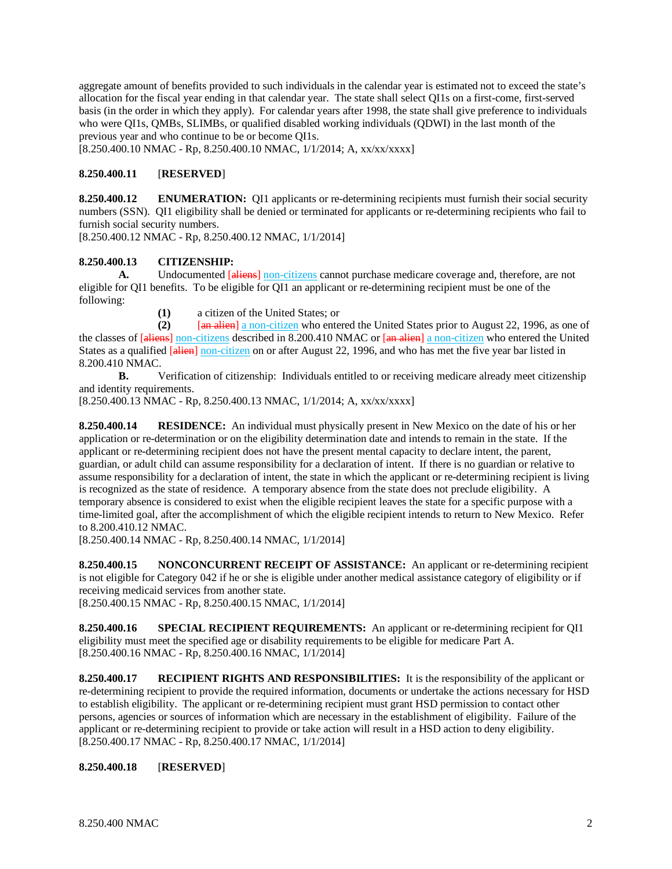aggregate amount of benefits provided to such individuals in the calendar year is estimated not to exceed the state's allocation for the fiscal year ending in that calendar year. The state shall select QI1s on a first-come, first-served basis (in the order in which they apply). For calendar years after 1998, the state shall give preference to individuals who were QI1s, QMBs, SLIMBs, or qualified disabled working individuals (QDWI) in the last month of the previous year and who continue to be or become QI1s.

[8.250.400.10 NMAC - Rp, 8.250.400.10 NMAC, 1/1/2014; A, xx/xx/xxxx]

# **8.250.400.11** [**RESERVED**]

**8.250.400.12 ENUMERATION:** QI1 applicants or re-determining recipients must furnish their social security numbers (SSN). QI1 eligibility shall be denied or terminated for applicants or re-determining recipients who fail to furnish social security numbers.

[8.250.400.12 NMAC - Rp, 8.250.400.12 NMAC, 1/1/2014]

# **8.250.400.13 CITIZENSHIP:**

**A.** Undocumented [aliens] non-citizens cannot purchase medicare coverage and, therefore, are not eligible for QI1 benefits. To be eligible for QI1 an applicant or re-determining recipient must be one of the following:

**(1)** a citizen of the United States; or

**(2)** [an alien] a non-citizen who entered the United States prior to August 22, 1996, as one of the classes of [aliens] non-citizens described in 8.200.410 NMAC or [an alien] a non-citizen who entered the United States as a qualified [alien] non-citizen on or after August 22, 1996, and who has met the five year bar listed in 8.200.410 NMAC.

**B.** Verification of citizenship: Individuals entitled to or receiving medicare already meet citizenship and identity requirements.

[8.250.400.13 NMAC - Rp, 8.250.400.13 NMAC, 1/1/2014; A, xx/xx/xxxx]

**8.250.400.14 RESIDENCE:** An individual must physically present in New Mexico on the date of his or her application or re-determination or on the eligibility determination date and intends to remain in the state. If the applicant or re-determining recipient does not have the present mental capacity to declare intent, the parent, guardian, or adult child can assume responsibility for a declaration of intent. If there is no guardian or relative to assume responsibility for a declaration of intent, the state in which the applicant or re-determining recipient is living is recognized as the state of residence. A temporary absence from the state does not preclude eligibility. A temporary absence is considered to exist when the eligible recipient leaves the state for a specific purpose with a time-limited goal, after the accomplishment of which the eligible recipient intends to return to New Mexico. Refer to 8.200.410.12 NMAC.

[8.250.400.14 NMAC - Rp, 8.250.400.14 NMAC, 1/1/2014]

**8.250.400.15 NONCONCURRENT RECEIPT OF ASSISTANCE:** An applicant or re-determining recipient is not eligible for Category 042 if he or she is eligible under another medical assistance category of eligibility or if receiving medicaid services from another state.

[8.250.400.15 NMAC - Rp, 8.250.400.15 NMAC, 1/1/2014]

**8.250.400.16 SPECIAL RECIPIENT REQUIREMENTS:** An applicant or re-determining recipient for QI1 eligibility must meet the specified age or disability requirements to be eligible for medicare Part A. [8.250.400.16 NMAC - Rp, 8.250.400.16 NMAC, 1/1/2014]

**8.250.400.17 RECIPIENT RIGHTS AND RESPONSIBILITIES:** It is the responsibility of the applicant or re-determining recipient to provide the required information, documents or undertake the actions necessary for HSD to establish eligibility. The applicant or re-determining recipient must grant HSD permission to contact other persons, agencies or sources of information which are necessary in the establishment of eligibility. Failure of the applicant or re-determining recipient to provide or take action will result in a HSD action to deny eligibility. [8.250.400.17 NMAC - Rp, 8.250.400.17 NMAC, 1/1/2014]

# **8.250.400.18** [**RESERVED**]